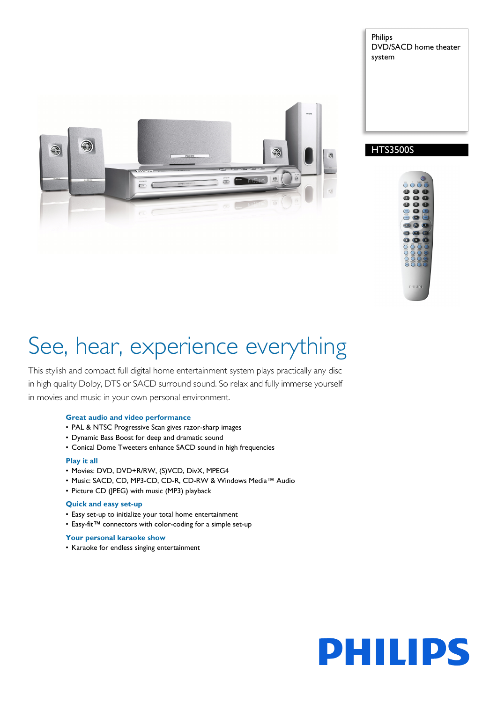

Philips DVD/SACD home theater system





# See, hear, experience everything

This stylish and compact full digital home entertainment system plays practically any disc in high quality Dolby, DTS or SACD surround sound. So relax and fully immerse yourself in movies and music in your own personal environment.

## **Great audio and video performance**

- PAL & NTSC Progressive Scan gives razor-sharp images
- Dynamic Bass Boost for deep and dramatic sound
- Conical Dome Tweeters enhance SACD sound in high frequencies

## **Play it all**

- Movies: DVD, DVD+R/RW, (S)VCD, DivX, MPEG4
- Music: SACD, CD, MP3-CD, CD-R, CD-RW & Windows Media™ Audio
- Picture CD (JPEG) with music (MP3) playback

## **Quick and easy set-up**

- Easy set-up to initialize your total home entertainment
- Easy-fit™ connectors with color-coding for a simple set-up

#### **Your personal karaoke show**

• Karaoke for endless singing entertainment

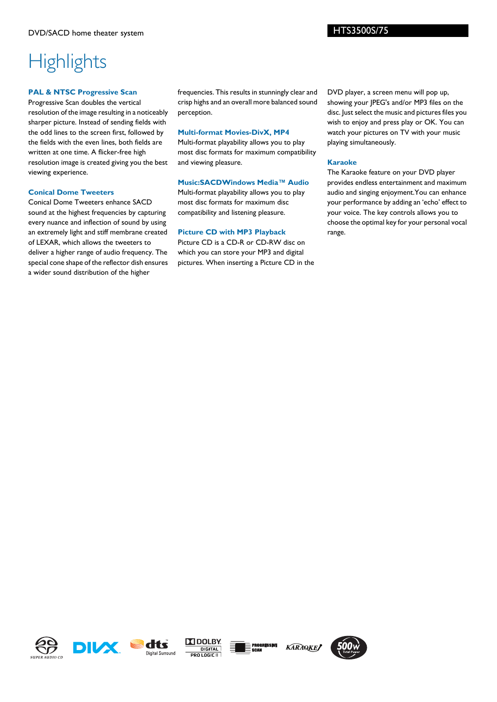# **Highlights**

## **PAL & NTSC Progressive Scan**

Progressive Scan doubles the vertical resolution of the image resulting in a noticeably sharper picture. Instead of sending fields with the odd lines to the screen first, followed by the fields with the even lines, both fields are written at one time. A flicker-free high resolution image is created giving you the best viewing experience.

## **Conical Dome Tweeters**

Conical Dome Tweeters enhance SACD sound at the highest frequencies by capturing every nuance and inflection of sound by using an extremely light and stiff membrane created of LEXAR, which allows the tweeters to deliver a higher range of audio frequency. The special cone shape of the reflector dish ensures a wider sound distribution of the higher

frequencies. This results in stunningly clear and crisp highs and an overall more balanced sound perception.

## **Multi-format Movies-DivX, MP4**

Multi-format playability allows you to play most disc formats for maximum compatibility and viewing pleasure.

## **Music:SACDWindows Media™ Audio**

Multi-format playability allows you to play most disc formats for maximum disc compatibility and listening pleasure.

# **Picture CD with MP3 Playback**

Picture CD is a CD-R or CD-RW disc on which you can store your MP3 and digital pictures. When inserting a Picture CD in the DVD player, a screen menu will pop up, showing your JPEG's and/or MP3 files on the disc. Just select the music and pictures files you wish to enjoy and press play or OK. You can watch your pictures on TV with your music playing simultaneously.

## **Karaoke**

The Karaoke feature on your DVD player provides endless entertainment and maximum audio and singing enjoyment.You can enhance your performance by adding an 'echo' effect to your voice. The key controls allows you to choose the optimal key for your personal vocal range.